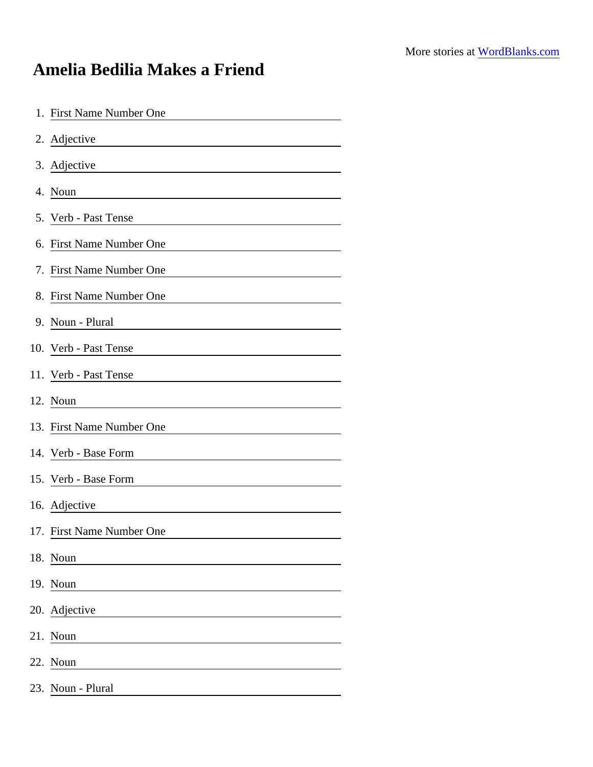## Amelia Bedilia Makes a Friend

| 1. First Name Number One                                                                                                               |
|----------------------------------------------------------------------------------------------------------------------------------------|
| 2. Adjective                                                                                                                           |
| 3. Adjective<br><u> 1980 - Johann Stoff, deutscher Stoffen und der Stoffen und der Stoffen und der Stoffen und der Stoffen und der</u> |
| 4. Noun                                                                                                                                |
| 5. Verb - Past Tense                                                                                                                   |
| 6. First Name Number One                                                                                                               |
| 7. First Name Number One                                                                                                               |
| 8. First Name Number One                                                                                                               |
| 9. Noun - Plural                                                                                                                       |
| 10. Verb - Past Tense                                                                                                                  |
| 11. Verb - Past Tense                                                                                                                  |
| 12. Noun                                                                                                                               |
| 13. First Name Number One                                                                                                              |
| 14. Verb - Base Form<br><u> 1989 - Johann Harry Barn, mars ar breist fan de Fryske kommer</u>                                          |
| 15. Verb - Base Form                                                                                                                   |
| 16. Adjective                                                                                                                          |
| 17. First Name Number One                                                                                                              |
| 18. Noun                                                                                                                               |
| 19. Noun                                                                                                                               |
| 20. Adjective                                                                                                                          |
| 21. Noun                                                                                                                               |
| 22. Noun                                                                                                                               |
| 23. Noun - Plural                                                                                                                      |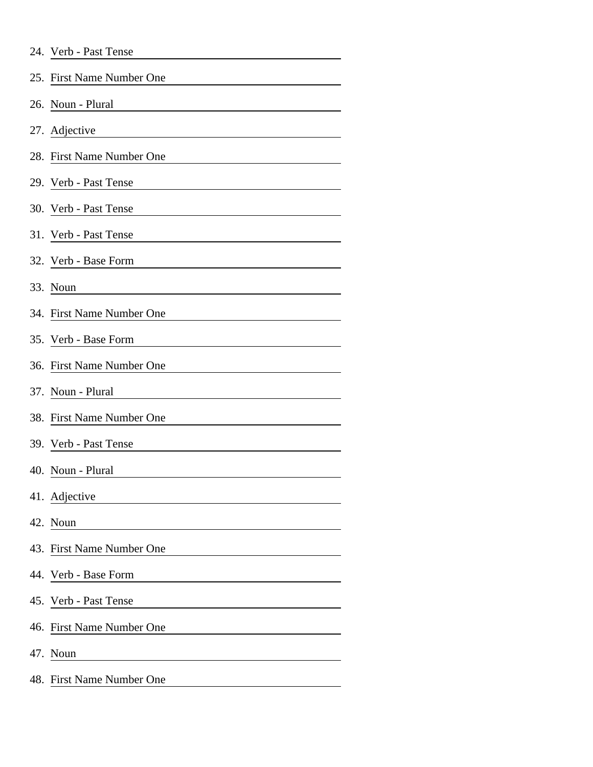| 24. Verb - Past Tense |  |
|-----------------------|--|
|-----------------------|--|

|     | 25. First Name Number One    |
|-----|------------------------------|
|     | 26. Noun - Plural            |
|     | 27. Adjective                |
|     | 28. First Name Number One    |
|     | 29. Verb - Past Tense        |
|     | 30. Verb - Past Tense        |
|     | 31. Verb - Past Tense        |
|     | 32. Verb - Base Form         |
|     | 33. Noun                     |
|     | 34. First Name Number One    |
|     | 35. Verb - Base Form         |
|     | 36. First Name Number One    |
|     | 37. Noun - Plural            |
|     | 38. First Name Number One    |
|     | 39. Verb - Past Tense        |
|     | 40. Noun - Plural            |
|     | 41. Adjective                |
|     | 42. Noun                     |
| 43. | <b>First Name Number One</b> |
|     | 44. Verb - Base Form         |
|     | 45. Verb - Past Tense        |
| 46. | <b>First Name Number One</b> |
| 47. | Noun                         |
|     | 48. First Name Number One    |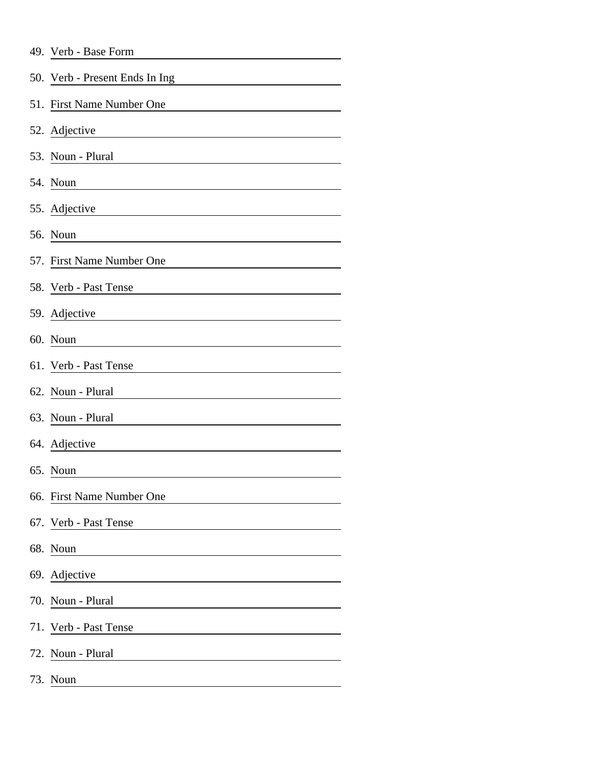|  | 49. Verb - Base Form |  |  |
|--|----------------------|--|--|
|--|----------------------|--|--|

|     | 50. Verb - Present Ends In Ing |
|-----|--------------------------------|
| 51. | First Name Number One          |
|     | 52. Adjective                  |
|     | 53. Noun - Plural              |
|     | 54. Noun                       |
|     | 55. Adjective                  |
|     | 56. Noun                       |
|     | 57. First Name Number One      |
|     | 58. Verb - Past Tense          |
|     | 59. Adjective                  |
|     | 60. Noun                       |
|     | 61. Verb - Past Tense          |
|     | 62. Noun - Plural              |
|     | 63. Noun - Plural              |
|     | 64. Adjective                  |
|     | 65. Noun                       |
|     | 66. First Name Number One      |
| 67. | Verb - Past Tense              |
| 68. | Noun                           |
| 69. | Adjective                      |
| 70. | Noun - Plural                  |
|     | 71. Verb - Past Tense          |
| 72. | Noun - Plural                  |
|     | 73. Noun                       |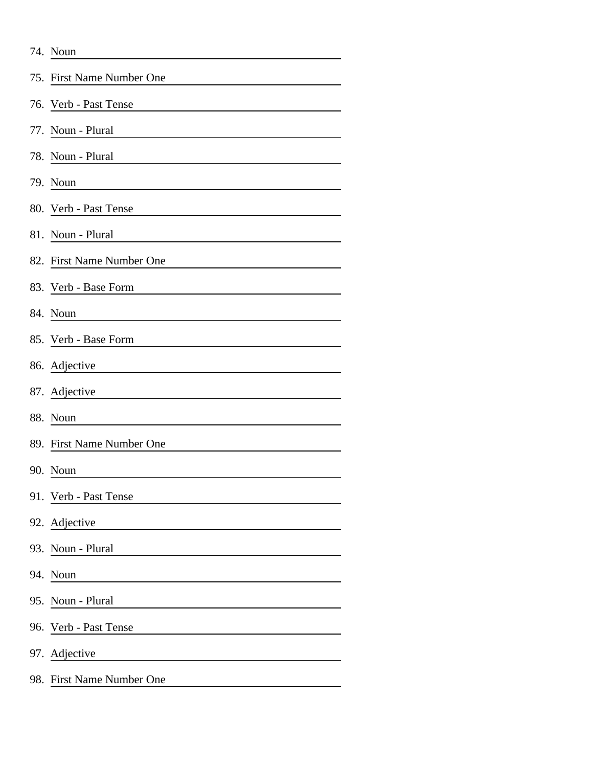|     | 74. Noun                  |
|-----|---------------------------|
|     | 75. First Name Number One |
|     | 76. Verb - Past Tense     |
| 77. | Noun - Plural             |
|     | 78. Noun - Plural         |
|     | 79. Noun                  |
|     | 80. Verb - Past Tense     |
| 81. | Noun - Plural             |
|     | 82. First Name Number One |
|     | 83. Verb - Base Form      |
|     | 84. Noun                  |
|     | 85. Verb - Base Form      |
|     | 86. Adjective             |
|     | 87. Adjective             |
| 88. | Noun                      |
|     | 89. First Name Number One |
|     | 90. Noun                  |
| 91. | Verb - Past Tense         |
|     | 92. Adjective             |
|     | 93. Noun - Plural         |
|     | 94. Noun                  |
|     | 95. Noun - Plural         |
|     | 96. Verb - Past Tense     |
|     | 97. Adjective             |
|     | 98. First Name Number One |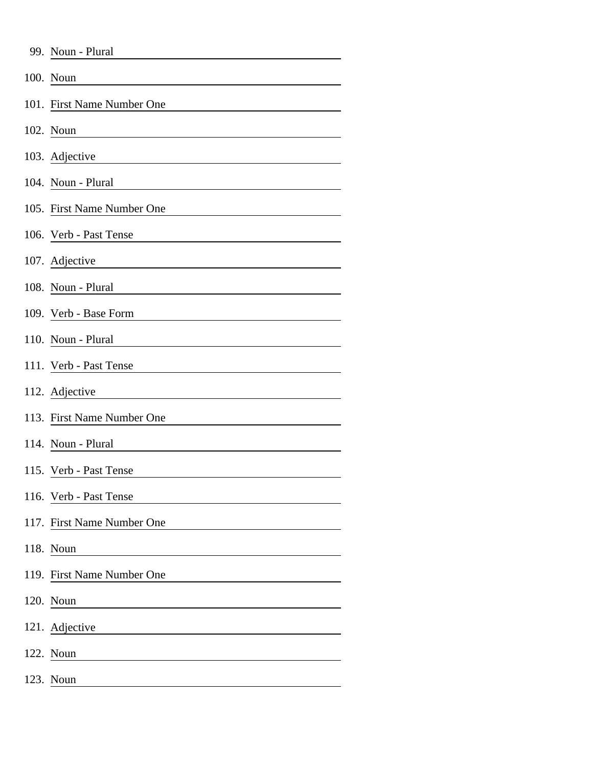| 99. Noun - Plural          |
|----------------------------|
| 100. Noun                  |
| 101. First Name Number One |
| 102. Noun                  |
| 103. Adjective             |
| 104. Noun - Plural         |
| 105. First Name Number One |
| 106. Verb - Past Tense     |
| 107. Adjective             |
| 108. Noun - Plural         |
| 109. Verb - Base Form      |
| 110. Noun - Plural         |
| 111. Verb - Past Tense     |
| 112. Adjective             |
| 113. First Name Number One |
| 114. Noun - Plural         |
| 115. Verb - Past Tense     |
| 116. Verb - Past Tense     |
| 117. First Name Number One |
| 118. Noun                  |
| 119. First Name Number One |
| 120. Noun                  |
| 121. Adjective             |
| 122. Noun                  |
| 123. Noun                  |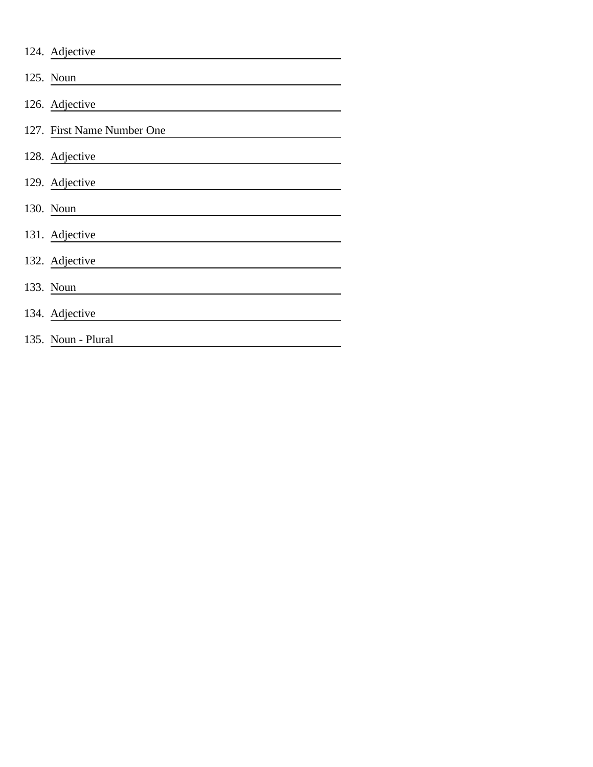| 124. Adjective             |
|----------------------------|
| 125. Noun                  |
| 126. Adjective             |
| 127. First Name Number One |
| 128. Adjective             |
| 129. Adjective             |
| 130. Noun                  |
| 131. Adjective             |
| 132. Adjective             |
| 133. Noun                  |
| 134. Adjective             |
| 135. Noun - Plural         |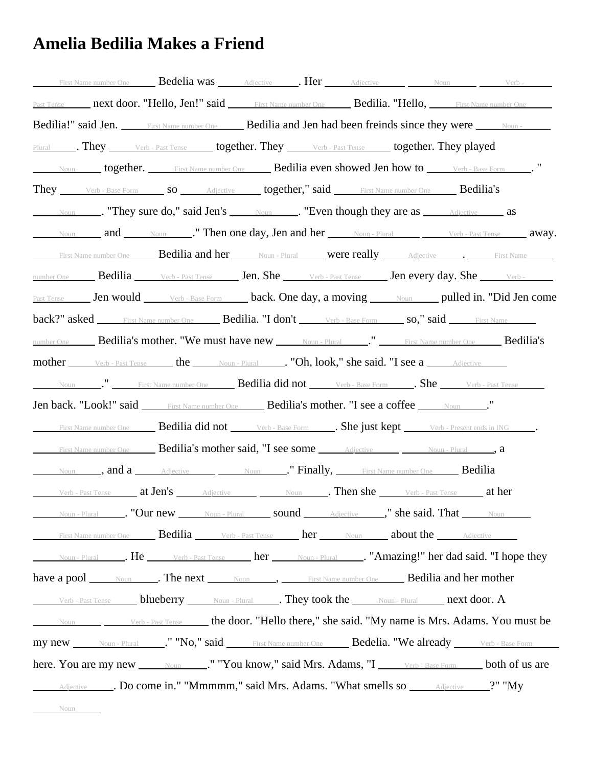## **Amelia Bedilia Makes a Friend**

| First Name number One <b>Bedelia was</b> Adjective <b>Her</b> Adjective Moun Noun Perb-                                                                                                                                                    |
|--------------------------------------------------------------------------------------------------------------------------------------------------------------------------------------------------------------------------------------------|
| Past Tense <b>next door. "Hello, Jen!" said</b> First Name number One <b>Bedilia. "Hello,</b> First Name number One                                                                                                                        |
| Bedilia!" said Jen. First Name number One Bedilia and Jen had been freinds since they were Noun-                                                                                                                                           |
| Plural 1. They Verb - Past Tense 10gether. They Verb - Past Tense 10gether. They played                                                                                                                                                    |
| Noun together. First Name number One Bedilia even showed Jen how to Verb - Base Form                                                                                                                                                       |
| They Verb-Base Form So Adjective together," said First Name number One Bedilia's                                                                                                                                                           |
| Noun Noun Noun New York 1 Noun Noun Noun New York 1 2010 Noun Adjective as                                                                                                                                                                 |
| Noun and Noun Noun Then one day, Jen and her Noun-Plural Verb-Past Tense away.                                                                                                                                                             |
| First Name number One <b>Bedilia and her</b> Noun - Plural <b>were really</b> Adjective . First Name                                                                                                                                       |
| number One <b>Bedilia</b> Verb - Past Tense <b>Jen.</b> She Verb - Past Tense <b>Jen every day.</b> She Verb -                                                                                                                             |
| Past Tense Jen would Verb - Base Form back. One day, a moving Noun pulled in. "Did Jen come                                                                                                                                                |
| back?" asked First Name number One Bedilia. "I don't verb-Base Form so," said First Name                                                                                                                                                   |
| number One Bedilia's mother. "We must have new Noun-Plural " First Name number One Bedilia's                                                                                                                                               |
| <b>mother Example 1</b> Verb - Past Tense <b>the http://</b> Noun - Plural <b>Convert Plural Dividends Convert Plural Dividends Convert Plural Dividends Convert Plural Dividends Convert Plural Dividends Convert Plural Dividends Co</b> |
| Noun Pirst Name number One <b>Bedilia did not</b> Verb - Base Form <b>She</b> Verb - Past Tense                                                                                                                                            |
| Jen back. "Look!" said First Name number One Bedilia's mother. "I see a coffee Noun ."                                                                                                                                                     |
| First Name number One <b>Bedilia did not</b> Verb - Base Form <b>First Rept</b> Verb - Present ends in ING <b>First Name number One</b>                                                                                                    |
| First Name number One <b>Bedilia's mother said, "I see some</b> Adjective Moun - Plural <b>and Adjective</b> Adjective                                                                                                                     |
| Noun , and a Adjective Noun ." Finally, First Name number One Bedilia                                                                                                                                                                      |
| Verb - Past Tense at Jen's Adjective Noun Noun <b>Then she</b> Verb - Past Tense at her                                                                                                                                                    |
|                                                                                                                                                                                                                                            |
| First Name number One <b>Bedilia</b> Verb - Past Tense <b>her</b> Noun <b>about the</b> Adjective                                                                                                                                          |
| Noun-Plural ____. He ______ Verb-Past Tense ______ her ______ Noun-Plural ____. "Amazing!" her dad said. "I hope they                                                                                                                      |
| have a pool Noun Renext Noun, Bedilia and her mother                                                                                                                                                                                       |
|                                                                                                                                                                                                                                            |
| Noun Noun Verb - Past Tense the door. "Hello there," she said. "My name is Mrs. Adams. You must be                                                                                                                                         |
| my new Noun-Plural No." No," said First Name number One Bedelia. "We already Verb-Base Form                                                                                                                                                |
| here. You are my new ______ Noun _____." "You know," said Mrs. Adams, "I _____ verb - Base Form _____ both of us are                                                                                                                       |
| Adjective _____. Do come in." "Mmmmm," said Mrs. Adams. "What smells so ______Adjective _____?" "My                                                                                                                                        |

**Noun**